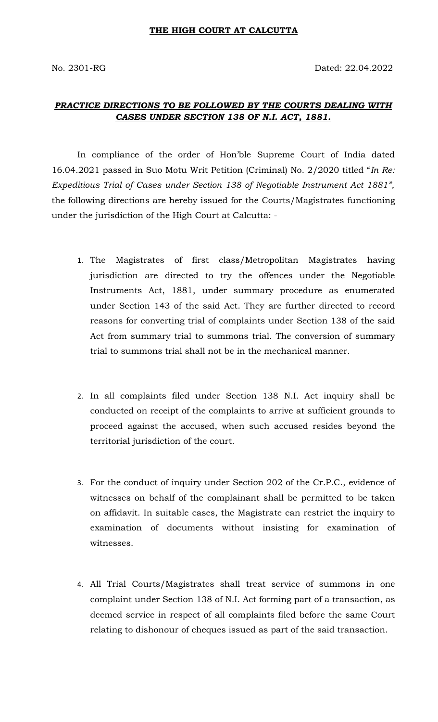## *PRACTICE DIRECTIONS TO BE FOLLOWED BY THE COURTS DEALING WITH CASES UNDER SECTION 138 OF N.I. ACT, 1881.*

In compliance of the order of Hon'ble Supreme Court of India dated 16.04.2021 passed in Suo Motu Writ Petition (Criminal) No. 2/2020 titled "*In Re: Expeditious Trial of Cases under Section 138 of Negotiable Instrument Act 1881",* the following directions are hereby issued for the Courts/Magistrates functioning under the jurisdiction of the High Court at Calcutta: -

- 1. The Magistrates of first class/Metropolitan Magistrates having jurisdiction are directed to try the offences under the Negotiable Instruments Act, 1881, under summary procedure as enumerated under Section 143 of the said Act. They are further directed to record reasons for converting trial of complaints under Section 138 of the said Act from summary trial to summons trial. The conversion of summary trial to summons trial shall not be in the mechanical manner.
- 2. In all complaints filed under Section 138 N.I. Act inquiry shall be conducted on receipt of the complaints to arrive at sufficient grounds to proceed against the accused, when such accused resides beyond the territorial jurisdiction of the court.
- 3. For the conduct of inquiry under Section 202 of the Cr.P.C., evidence of witnesses on behalf of the complainant shall be permitted to be taken on affidavit. In suitable cases, the Magistrate can restrict the inquiry to examination of documents without insisting for examination of witnesses.
- 4. All Trial Courts/Magistrates shall treat service of summons in one complaint under Section 138 of N.I. Act forming part of a transaction, as deemed service in respect of all complaints filed before the same Court relating to dishonour of cheques issued as part of the said transaction.